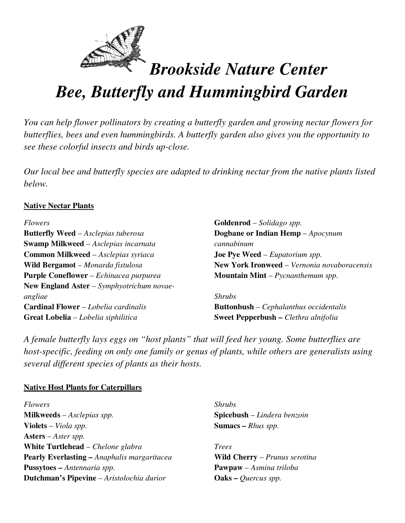

# *Bee, Butterfly and Hummingbird Garden*

*You can help flower pollinators by creating a butterfly garden and growing nectar flowers for butterflies, bees and even hummingbirds. A butterfly garden also gives you the opportunity to see these colorful insects and birds up-close.* 

*Our local bee and butterfly species are adapted to drinking nectar from the native plants listed below.* 

## **Native Nectar Plants**

#### *Flowers*

**Butterfly Weed** – *Asclepias tuberosa*  **Swamp Milkweed** – *Asclepias incarnata* **Common Milkweed** – *Asclepias syriaca*  **Wild Bergamot** – *Monarda fistulosa* **Purple Coneflower** – *Echinacea purpurea* **New England Aster** – *Symphyotrichum novaeangliae* **Cardinal Flower** – *Lobelia cardinalis* **Great Lobelia** – *Lobelia siphilitica*

**Goldenrod** – *Solidago spp.*  **Dogbane or Indian Hemp** – *Apocynum cannabinum*  **Joe Pye Weed** – *Eupatorium spp.*  **New York Ironweed** – *Vernonia novaboracensis*  **Mountain Mint** – *Pycnanthemum spp.* 

### *Shrubs*

**Buttonbush** *– Cephalanthus occidentalis*  **Sweet Pepperbush –** *Clethra alnifolia* 

*A female butterfly lays eggs on "host plants" that will feed her young. Some butterflies are host-specific, feeding on only one family or genus of plants, while others are generalists using several different species of plants as their hosts.* 

## **Native Host Plants for Caterpillars**

*Flowers*  **Milkweeds** – *Asclepias spp.* **Violets** – *Viola spp.* **Asters** – *Aster spp.*  **White Turtlehead** – *Chelone glabra* **Pearly Everlasting –** *Anaphalis margaritacea*  **Pussytoes –** *Antennaria spp.* **Dutchman's Pipevine** *– Aristolochia durior* 

*Shrubs*  **Spicebush** – *Lindera benzoin*  **Sumacs –** *Rhus spp.* 

*Trees*  **Wild Cherry** – *Prunus serotina* **Pawpaw** – *Asmina triloba*  **Oaks –** *Quercus spp.*